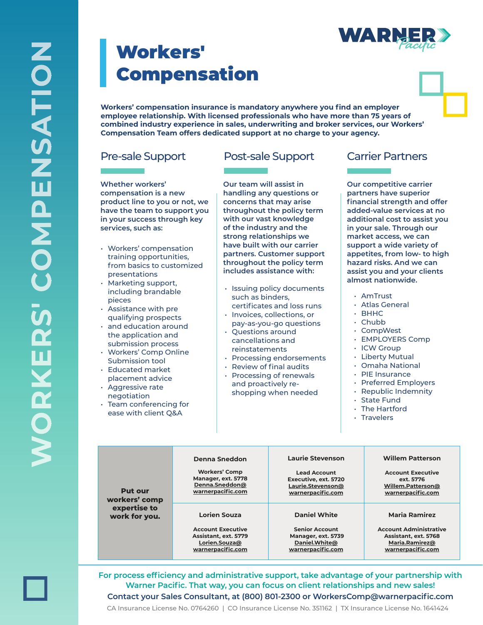## Workers' Compensation

**Workers' compensation insurance is mandatory anywhere you find an employer employee relationship. With licensed professionals who have more than 75 years of combined industry experience in sales, underwriting and broker services, our Workers' Compensation Team offers dedicated support at no charge to your agency.**

**Whether workers' compensation is a new product line to you or not, we have the team to support you in your success through key services, such as:**

- Workers' compensation training opportunities, from basics to customized presentations
- Marketing support, including brandable pieces
- Assistance with pre qualifying prospects
- and education around the application and submission process
- Workers' Comp Online Submission tool
- Educated market placement advice
- Aggressive rate negotiation
- Team conferencing for ease with client Q&A

## Pre-sale Support Post-sale Support Carrier Partners

**Our team will assist in handling any questions or concerns that may arise throughout the policy term with our vast knowledge of the industry and the strong relationships we have built with our carrier partners. Customer support throughout the policy term includes assistance with:**

- Issuing policy documents such as binders, certificates and loss runs
- Invoices, collections, or pay-as-you-go questions
- Questions around cancellations and reinstatements
- Processing endorsements
- $\cdot$  Review of final audits
- Processing of renewals and proactively reshopping when needed

**Our competitive carrier partners have superior fi nancial strength and offer added-value services at no additional cost to assist you in your sale. Through our market access, we can support a wide variety of appetites, from low- to high hazard risks. And we can assist you and your clients almost nationwide.**

- AmTrust
- Atlas General
- BHHC
- Chubb
- CompWest
- EMPLOYERS Comp
- ICW Group
- Liberty Mutual
- Omaha National
- PIE Insurance
- Preferred Employers
- Republic Indemnity
- State Fund
- The Hartford
- Travelers

| <b>Put our</b><br>workers' comp<br>expertise to<br>work for you. | <b>Denna Sneddon</b><br><b>Workers' Comp</b><br>Manager, ext. 5778<br>Denna.Sneddon@<br>warnerpacific.com | <b>Laurie Stevenson</b><br><b>Lead Account</b><br>Executive, ext. 5720<br>Laurie.Stevenson@<br>warnerpacific.com | <b>Willem Patterson</b><br><b>Account Executive</b><br>ext. 5776<br>Willem.Patterson@<br>warnerpacific.com |
|------------------------------------------------------------------|-----------------------------------------------------------------------------------------------------------|------------------------------------------------------------------------------------------------------------------|------------------------------------------------------------------------------------------------------------|
|                                                                  | <b>Lorien Souza</b><br><b>Account Executive</b>                                                           | <b>Daniel White</b><br><b>Senior Account</b>                                                                     | <b>Maria Ramirez</b><br><b>Account Administrative</b>                                                      |
|                                                                  |                                                                                                           |                                                                                                                  |                                                                                                            |
|                                                                  | Assistant, ext. 5779                                                                                      | Manager, ext. 5739                                                                                               | Assistant, ext. 5768                                                                                       |
|                                                                  | Lorien.Souza@                                                                                             | Daniel.White@                                                                                                    | Maria.Ramirez@                                                                                             |
|                                                                  | warnerpacific.com                                                                                         | warnerpacific.com                                                                                                | warnerpacific.com                                                                                          |

For process efficiency and administrative support, take advantage of your partnership with **Warner Pacific. That way, you can focus on client relationships and new sales! Contact your Sales Consultant, at (800) 801-2300 or WorkersComp@warnerpacifi c.com**

CA Insurance License No. 0764260 | CO Insurance License No. 351162 | TX Insurance License No. 1641424